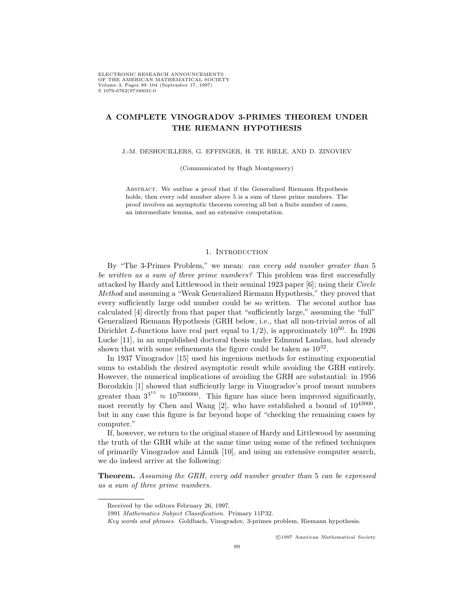# **A COMPLETE VINOGRADOV 3-PRIMES THEOREM UNDER THE RIEMANN HYPOTHESIS**

J.-M. DESHOUILLERS, G. EFFINGER, H. TE RIELE, AND D. ZINOVIEV

(Communicated by Hugh Montgomery)

Abstract. We outline a proof that if the Generalized Riemann Hypothesis holds, then every odd number above 5 is a sum of three prime numbers. The proof involves an asymptotic theorem covering all but a finite number of cases, an intermediate lemma, and an extensive computation.

### 1. INTRODUCTION

By "The 3-Primes Problem," we mean: *can every odd number greater than* 5 *be written as a sum of three prime numbers?* This problem was first successfully attacked by Hardy and Littlewood in their seminal 1923 paper [6]; using their *Circle Method* and assuming a "Weak Generalized Riemann Hypothesis," they proved that every sufficiently large odd number could be so written. The second author has calculated [4] directly from that paper that "sufficiently large," assuming the "full" Generalized Riemann Hypothesis (GRH below, i.e., that all non-trivial zeros of all Dirichlet *L*-functions have real part equal to  $1/2$ ), is approximately  $10^{50}$ . In 1926 Lucke [11], in an unpublished doctoral thesis under Edmund Landau, had already shown that with some refinements the figure could be taken as  $10^{32}$ .

In 1937 Vinogradov [15] used his ingenious methods for estimating exponential sums to establish the desired asymptotic result while avoiding the GRH entirely. However, the numerical implications of avoiding the GRH are substantial: in 1956 Borodzkin [1] showed that sufficiently large in Vinogradov's proof meant numbers greater than  $3^{3^{15}} \approx 10^{7000000}$ . This figure has since been improved significantly, most recently by Chen and Wang [2], who have established a bound of  $10^{43000}$ , but in any case this figure is far beyond hope of "checking the remaining cases by computer."

If, however, we return to the original stance of Hardy and Littlewood by assuming the truth of the GRH while at the same time using some of the refined techniques of primarily Vinogradov and Linnik [10], and using an extensive computer search, we do indeed arrive at the following:

**Theorem.** *Assuming the GRH, every odd number greater than* 5 *can be expressed as a sum of three prime numbers.*

<sup>c</sup> 1997 American Mathematical Society

Received by the editors February 26, 1997.

<sup>1991</sup> Mathematics Subject Classification. Primary 11P32.

Key words and phrases. Goldbach, Vinogradov, 3-primes problem, Riemann hypothesis.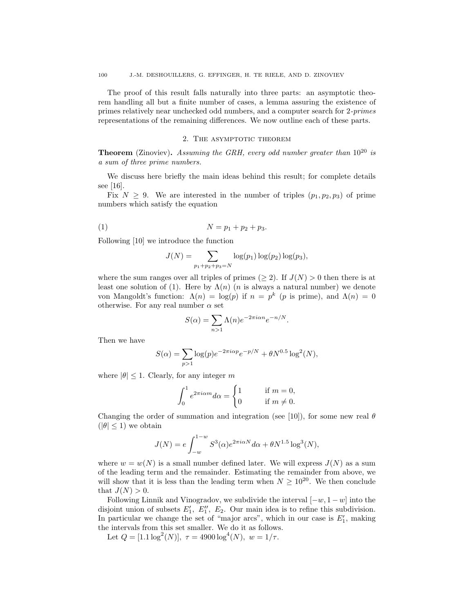The proof of this result falls naturally into three parts: an asymptotic theorem handling all but a finite number of cases, a lemma assuring the existence of primes relatively near unchecked odd numbers, and a computer search for 2*-primes* representations of the remaining differences. We now outline each of these parts.

### 2. THE ASYMPTOTIC THEOREM

**Theorem** (Zinoviev)**.** *Assuming the GRH, every odd number greater than* 10<sup>20</sup> *is a sum of three prime numbers.*

We discuss here briefly the main ideas behind this result; for complete details see [16].

Fix  $N \geq 9$ . We are interested in the number of triples  $(p_1, p_2, p_3)$  of prime numbers which satisfy the equation

(1) 
$$
N = p_1 + p_2 + p_3.
$$

Following [10] we introduce the function

$$
J(N) = \sum_{p_1+p_2+p_3=N} \log(p_1) \log(p_2) \log(p_3),
$$

where the sum ranges over all triples of primes ( $\geq$ 2). If  $J(N) > 0$  then there is at least one solution of (1). Here by  $\Lambda(n)$  (*n* is always a natural number) we denote von Mangoldt's function:  $Λ(n) = log(p)$  if  $n = p^k$  (*p* is prime), and  $Λ(n) = 0$ otherwise. For any real number  $\alpha$  set

$$
S(\alpha) = \sum_{n>1} \Lambda(n) e^{-2\pi i \alpha n} e^{-n/N}.
$$

Then we have

$$
S(\alpha) = \sum_{p>1} \log(p) e^{-2\pi i \alpha p} e^{-p/N} + \theta N^{0.5} \log^2(N),
$$

where  $|\theta|$  < 1. Clearly, for any integer *m* 

$$
\int_0^1 e^{2\pi i \alpha m} d\alpha = \begin{cases} 1 \qquad &\text{if } m = 0,\\ 0 \qquad &\text{if } m \neq 0. \end{cases}
$$

Changing the order of summation and integration (see [10]), for some new real *θ*  $(|\theta| \leq 1)$  we obtain

$$
J(N) = e \int_{-w}^{1-w} S^3(\alpha) e^{2\pi i \alpha N} d\alpha + \theta N^{1.5} \log^3(N),
$$

where  $w = w(N)$  is a small number defined later. We will express  $J(N)$  as a sum of the leading term and the remainder. Estimating the remainder from above, we will show that it is less than the leading term when  $N \geq 10^{20}$ . We then conclude that  $J(N) > 0$ .

Following Linnik and Vinogradov, we subdivide the interval [*−w,* 1 *− w*] into the disjoint union of subsets  $E'_1$ ,  $E''_1$ ,  $E_2$ . Our main idea is to refine this subdivision. In particular we change the set of "major arcs", which in our case is  $E'_1$ , making the intervals from this set smaller. We do it as follows.

Let  $Q = [1.1 \log^2(N)], \tau = 4900 \log^4(N), w = 1/\tau.$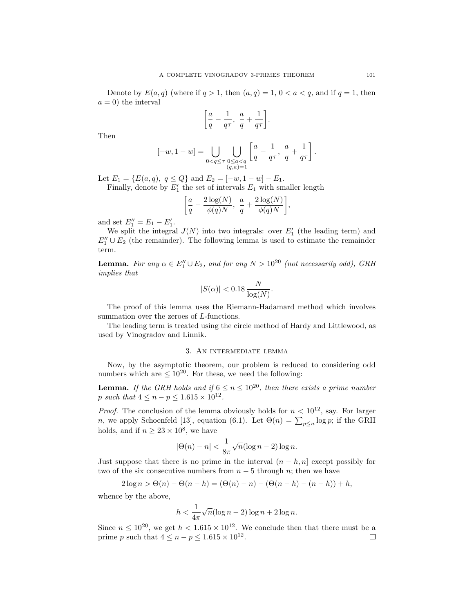Denote by  $E(a,q)$  (where if  $q > 1$ , then  $(a,q) = 1, 0 < a < q$ , and if  $q = 1$ , then  $a = 0$ ) the interval

$$
\bigg[\frac{a}{q}-\frac{1}{q\tau},\;\frac{a}{q}+\frac{1}{q\tau}\bigg].
$$

Then

$$
[-w,1-w]=\bigcup_{0
$$

Let  $E_1 = \{E(a, q), q \leq Q\}$  and  $E_2 = [-w, 1 - w] - E_1$ . Finally, denote by  $E_1'$  the set of intervals  $E_1$  with smaller length

$$
\left[\frac{a}{q}-\frac{2\log(N)}{\phi(q)N},\ \frac{a}{q}+\frac{2\log(N)}{\phi(q)N}\right],
$$

and set  $E_1'' = E_1 - E_1'$ .

We split the integral  $J(N)$  into two integrals: over  $E_1'$  (the leading term) and  $E_1'' \cup E_2$  (the remainder). The following lemma is used to estimate the remainder term.

**Lemma.** *For any*  $\alpha \in E_1'' \cup E_2$ , and for any  $N > 10^{20}$  *(not necessarily odd), GRH implies that*

$$
|S(\alpha)| < 0.18 \frac{N}{\log(N)}.
$$

The proof of this lemma uses the Riemann-Hadamard method which involves summation over the zeroes of *L*-functions.

The leading term is treated using the circle method of Hardy and Littlewood, as used by Vinogradov and Linnik.

# 3. An intermediate lemma

Now, by the asymptotic theorem, our problem is reduced to considering odd numbers which are  $\leq 10^{20}$ . For these, we need the following:

**Lemma.** *If the GRH holds and if*  $6 \le n \le 10^{20}$ , *then there exists a prime number p such that*  $4 \leq n - p \leq 1.615 \times 10^{12}$ .

*Proof.* The conclusion of the lemma obviously holds for  $n < 10^{12}$ , say. For larger *n*, we apply Schoenfeld [13], equation (6.1). Let  $\Theta(n) = \sum_{p \leq n} \log p$ ; if the GRH holds, and if  $n \geq 23 \times 10^8$ , we have

$$
|\Theta(n) - n| < \frac{1}{8\pi} \sqrt{n} (\log n - 2) \log n.
$$

Just suppose that there is no prime in the interval  $(n - h, n]$  except possibly for two of the six consecutive numbers from  $n-5$  through  $n$ ; then we have

$$
2\log n > \Theta(n) - \Theta(n-h) = (\Theta(n) - n) - (\Theta(n-h) - (n-h)) + h,
$$

whence by the above,

$$
h < \frac{1}{4\pi} \sqrt{n} (\log n - 2) \log n + 2 \log n.
$$

Since  $n \leq 10^{20}$ , we get  $h < 1.615 \times 10^{12}$ . We conclude then that there must be a prime *p* such that  $4 \leq n - p \leq 1.615 \times 10^{12}$ .  $\Box$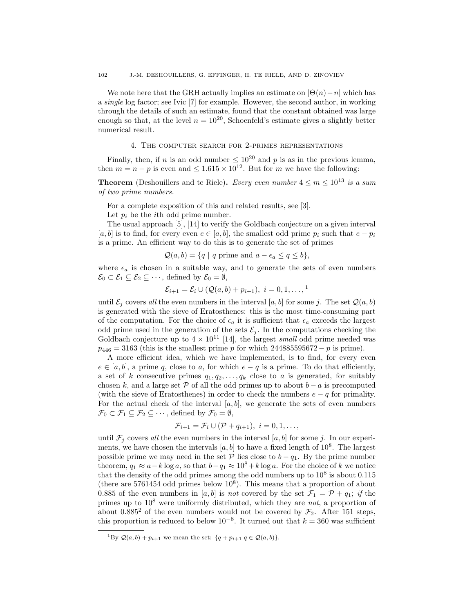We note here that the GRH actually implies an estimate on  $|\Theta(n) - n|$  which has a *single* log factor; see Ivic [7] for example. However, the second author, in working through the details of such an estimate, found that the constant obtained was large enough so that, at the level  $n = 10^{20}$ , Schoenfeld's estimate gives a slightly better numerical result.

## 4. The computer search for 2-primes representations

Finally, then, if *n* is an odd number  $\leq 10^{20}$  and *p* is as in the previous lemma, then  $m = n - p$  is even and  $\leq 1.615 \times 10^{12}$ . But for *m* we have the following:

**Theorem** (Deshouillers and te Riele). *Every even number*  $4 \le m \le 10^{13}$  *is a sum of two prime numbers.*

For a complete exposition of this and related results, see [3].

Let  $p_i$  be the *i*<sup>th</sup> odd prime number.

The usual approach [5], [14] to verify the Goldbach conjecture on a given interval [ $a, b$ ] is to find, for every even  $e \in [a, b]$ , the smallest odd prime  $p_i$  such that  $e − p_i$ is a prime. An efficient way to do this is to generate the set of primes

$$
Q(a, b) = \{q \mid q \text{ prime and } a - \epsilon_a \le q \le b\},\
$$

where  $\epsilon_a$  is chosen in a suitable way, and to generate the sets of even numbers  $\mathcal{E}_0 \subset \mathcal{E}_1 \subseteq \mathcal{E}_2 \subseteq \cdots$ , defined by  $\mathcal{E}_0 = \emptyset$ ,

$$
\mathcal{E}_{i+1} = \mathcal{E}_i \cup (\mathcal{Q}(a, b) + p_{i+1}), \ i = 0, 1, \dots, \frac{1}{n}
$$

until  $\mathcal{E}_i$  covers *all* the even numbers in the interval [a, b] for some *j*. The set  $\mathcal{Q}(a, b)$ is generated with the sieve of Eratosthenes: this is the most time-consuming part of the computation. For the choice of  $\epsilon_a$  it is sufficient that  $\epsilon_a$  exceeds the largest odd prime used in the generation of the sets  $\mathcal{E}_i$ . In the computations checking the Goldbach conjecture up to  $4 \times 10^{11}$  [14], the largest *small* odd prime needed was *p*<sub>446</sub> = 3163 (this is the smallest prime *p* for which 244885595672 − *p* is prime).

A more efficient idea, which we have implemented, is to find, for every even  $e \in [a, b]$ , a prime *q*, close to *a*, for which  $e - q$  is a prime. To do that efficiently, a set of *k* consecutive primes  $q_1, q_2, \ldots, q_k$  close to *a* is generated, for suitably chosen *k*, and a large set  $P$  of all the odd primes up to about  $b - a$  is precomputed (with the sieve of Eratosthenes) in order to check the numbers *e − q* for primality. For the actual check of the interval  $[a, b]$ , we generate the sets of even numbers  $\mathcal{F}_0 \subset \mathcal{F}_1 \subseteq \mathcal{F}_2 \subseteq \cdots$ , defined by  $\mathcal{F}_0 = \emptyset$ ,

$$
\mathcal{F}_{i+1} = \mathcal{F}_i \cup (\mathcal{P} + q_{i+1}), \ i = 0, 1, \dots,
$$

until  $\mathcal{F}_i$  covers *all* the even numbers in the interval [*a, b*] for some *j*. In our experiments, we have chosen the intervals  $[a, b]$  to have a fixed length of  $10^8$ . The largest possible prime we may need in the set  $P$  lies close to  $b - q_1$ . By the prime number theorem,  $q_1 \approx a - k \log a$ , so that  $b - q_1 \approx 10^8 + k \log a$ . For the choice of *k* we notice that the density of the odd primes among the odd numbers up to  $10^8$  is about  $0.115$ (there are  $5761454$  odd primes below  $10^8$ ). This means that a proportion of about 0.885 of the even numbers in [a, b] is *not* covered by the set  $\mathcal{F}_1 = \mathcal{P} + q_1$ ; *if* the primes up to 10<sup>8</sup> were uniformly distributed, which they are *not*, a proportion of about  $0.885^2$  of the even numbers would not be covered by  $\mathcal{F}_2$ . After 151 steps, this proportion is reduced to below  $10^{-8}$ . It turned out that  $k = 360$  was sufficient

<sup>&</sup>lt;sup>1</sup>By  $Q(a, b) + p_{i+1}$  we mean the set:  $\{q + p_{i+1} | q \in Q(a, b)\}.$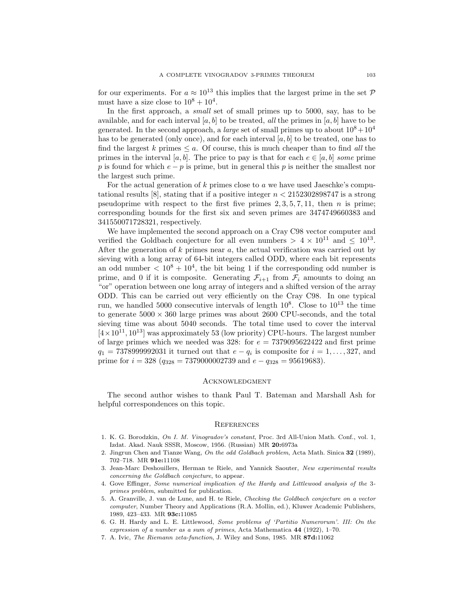for our experiments. For  $a \approx 10^{13}$  this implies that the largest prime in the set  $\mathcal{P}$ must have a size close to  $10^8 + 10^4$ .

In the first approach, a *small* set of small primes up to 5000, say, has to be available, and for each interval  $[a, b]$  to be treated, *all* the primes in  $[a, b]$  have to be generated. In the second approach, a *large* set of small primes up to about  $10^8 + 10^4$ has to be generated (only once), and for each interval [*a, b*] to be treated, one has to find the largest *k* primes  $\leq a$ . Of course, this is much cheaper than to find *all* the primes in the interval [*a, b*]. The price to pay is that for each  $e \in [a, b]$  *some* prime *p* is found for which *e* − *p* is prime, but in general this *p* is neither the smallest nor the largest such prime.

For the actual generation of *k* primes close to *a* we have used Jaeschke's computational results [8], stating that if a positive integer *n <* 2152302898747 is a strong pseudoprime with respect to the first five primes  $2, 3, 5, 7, 11$ , then *n* is prime; corresponding bounds for the first six and seven primes are 3474749660383 and 341550071728321, respectively.

We have implemented the second approach on a Cray C98 vector computer and verified the Goldbach conjecture for all even numbers  $> 4 \times 10^{11}$  and  $< 10^{13}$ . After the generation of *k* primes near *a*, the actual verification was carried out by sieving with a long array of 64-bit integers called ODD, where each bit represents an odd number  $\langle 10^8 + 10^4$ , the bit being 1 if the corresponding odd number is prime, and 0 if it is composite. Generating  $\mathcal{F}_{i+1}$  from  $\mathcal{F}_i$  amounts to doing an "or" operation between one long array of integers and a shifted version of the array ODD. This can be carried out very efficiently on the Cray C98. In one typical run, we handled 5000 consecutive intervals of length  $10^8$ . Close to  $10^{13}$  the time to generate  $5000 \times 360$  large primes was about 2600 CPU-seconds, and the total sieving time was about 5040 seconds. The total time used to cover the interval  $[4 \times 10^{11}, 10^{13}]$  was approximately 53 (low priority) CPU-hours. The largest number of large primes which we needed was  $328$ : for  $e = 7379095622422$  and first prime *q*<sub>1</sub> = 7378999992031 it turned out that *e* − *q*<sub>*i*</sub> is composite for *i* = 1,...,327, and prime for  $i = 328$  ( $q_{328} = 7379000002739$  and  $e - q_{328} = 95619683$ ).

## **ACKNOWLEDGMENT**

The second author wishes to thank Paul T. Bateman and Marshall Ash for helpful correspondences on this topic.

### **REFERENCES**

- 1. K. G. Borodzkin, On I. M. Vinogradov's constant, Proc. 3rd All-Union Math. Conf., vol. 1, Izdat. Akad. Nauk SSSR, Moscow, 1956. (Russian) MR **20:**6973a
- 2. Jingrun Chen and Tianze Wang, On the odd Goldbach problem, Acta Math. Sinica **32** (1989), 702–718. MR **91e:**11108
- 3. Jean-Marc Deshouillers, Herman te Riele, and Yannick Saouter, New experimental results concerning the Goldbach conjecture, to appear.
- 4. Gove Effinger, Some numerical implication of the Hardy and Littlewood analysis of the 3 primes problem, submitted for publication.
- 5. A. Granville, J. van de Lune, and H. te Riele, Checking the Goldbach conjecture on a vector computer, Number Theory and Applications (R.A. Mollin, ed.), Kluwer Academic Publishers, 1989, 423–433. MR **93c:**11085
- 6. G. H. Hardy and L. E. Littlewood, Some problems of 'Partitio Numerorum'. III: On the expression of a number as a sum of primes, Acta Mathematica **44** (1922), 1–70.
- 7. A. Ivic, The Riemann zeta-function, J. Wiley and Sons, 1985. MR **87d:**11062